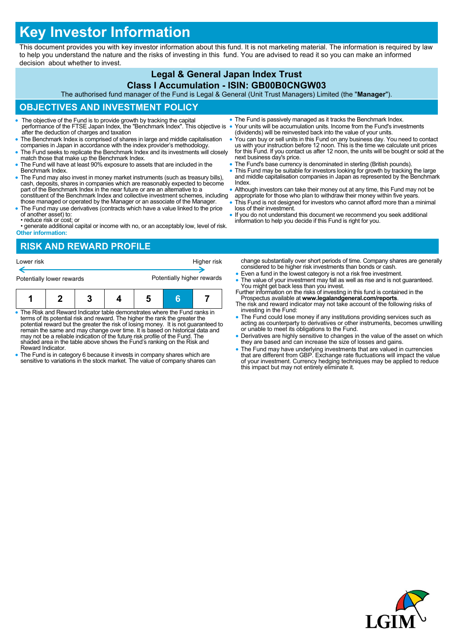# **Key Investor Information**

This document provides you with key investor information about this fund. It is not marketing material. The information is required by law to help you understand the nature and the risks of investing in this fund. You are advised to read it so you can make an informed decision about whether to invest.

## **Legal & General Japan Index Trust**

#### **Class I Accumulation - ISIN: GB00B0CNGW03**

The authorised fund manager of the Fund is Legal & General (Unit Trust Managers) Limited (the "**Manager**").

### **OBJECTIVES AND INVESTMENT POLICY**

- The objective of the Fund is to provide growth by tracking the capital performance of the FTSE Japan Index, the "Benchmark Index". This objective is after the deduction of charges and taxation
- The Benchmark Index is comprised of shares in large and middle capitalisation companies in Japan in accordance with the index provider's methodology.
- The Fund seeks to replicate the Benchmark Index and its investments will closely match those that make up the Benchmark Index.
- The Fund will have at least 90% exposure to assets that are included in the Benchmark Index.
- The Fund may also invest in money market instruments (such as treasury bills), cash, deposits, shares in companies which are reasonably expected to become part of the Benchmark Index in the near future or are an alternative to a constituent of the Benchmark Index and collective investment schemes, including
- those managed or operated by the Manager or an associate of the Manager. The Fund may use derivatives (contracts which have a value linked to the price
- of another asset) to: • reduce risk or cost; or
- generate additional capital or income with no, or an acceptably low, level of risk. **Other information:**

#### **RISK AND REWARD PROFILE**

| Lower risk                |  |  |  |                            |  | Higher risk |
|---------------------------|--|--|--|----------------------------|--|-------------|
| Potentially lower rewards |  |  |  | Potentially higher rewards |  |             |
|                           |  |  |  |                            |  |             |

- The Risk and Reward Indicator table demonstrates where the Fund ranks in terms of its potential risk and reward. The higher the rank the greater the potential reward but the greater the risk of losing money. It is not guaranteed to remain the same and may change over time. It is based on historical data and may not be a reliable indication of the future risk profile of the Fund. The shaded area in the table above shows the Fund's ranking on the Risk and Reward Indicator.
- The Fund is in category 6 because it invests in company shares which are sensitive to variations in the stock market. The value of company shares can
- The Fund is passively managed as it tracks the Benchmark Index. Your units will be accumulation units. Income from the Fund's investments (dividends) will be reinvested back into the value of your units.
- You can buy or sell units in this Fund on any business day. You need to contact us with your instruction before 12 noon. This is the time we calculate unit prices for this Fund. If you contact us after 12 noon, the units will be bought or sold at the next business day's price.
- The Fund's base currency is denominated in sterling (British pounds).
- This Fund may be suitable for investors looking for growth by tracking the large and middle capitalisation companies in Japan as represented by the Benchmark Index.
- Although investors can take their money out at any time, this Fund may not be appropriate for those who plan to withdraw their money within five years.
- This Fund is not designed for investors who cannot afford more than a minimal loss of their investment.
- If you do not understand this document we recommend you seek additional information to help you decide if this Fund is right for you.

change substantially over short periods of time. Company shares are generally considered to be higher risk investments than bonds or cash.

- Even a fund in the lowest category is not a risk free investment.
- The value of your investment may fall as well as rise and is not guaranteed. You might get back less than you invest. Further information on the risks of investing in this fund is contained in the
- Prospectus available at **www.legalandgeneral.com/reports**. The risk and reward indicator may not take account of the following risks of
- investing in the Fund: The Fund could lose money if any institutions providing services such as acting as counterparty to derivatives or other instruments, becomes unwilling or unable to meet its obligations to the Fund.
- Derivatives are highly sensitive to changes in the value of the asset on which they are based and can increase the size of losses and gains.
- The Fund may have underlying investments that are valued in currencies<br>that are different from GBP. Exchange rate fluctuations will impact the value<br>of your investment. Currency hedging techniques may be applied to reduc